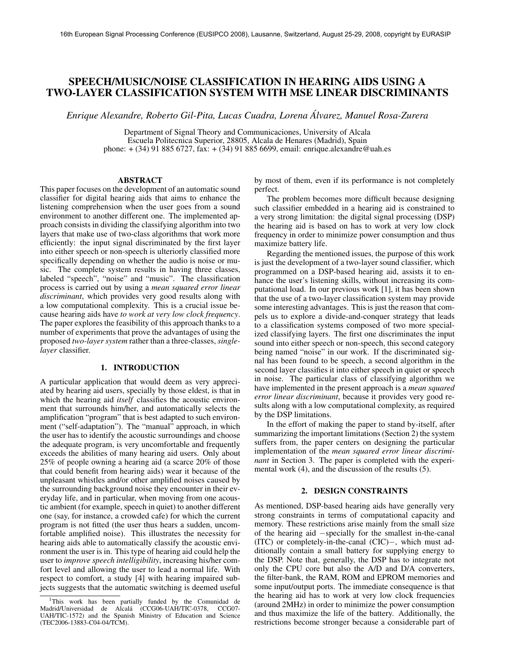# SPEECH/MUSIC/NOISE CLASSIFICATION IN HEARING AIDS USING A TWO-LAYER CLASSIFICATION SYSTEM WITH MSE LINEAR DISCRIMINANTS

*Enrique Alexandre, Roberto Gil-Pita, Lucas Cuadra, Lorena Alvarez, Manuel Rosa-Zurera ´*

Department of Signal Theory and Communicaciones, University of Alcala Escuela Politecnica Superior, 28805, Alcala de Henares (Madrid), Spain phone: + (34) 91 885 6727, fax: + (34) 91 885 6699, email: enrique.alexandre@uah.es

## ABSTRACT

This paper focuses on the development of an automatic sound classifier for digital hearing aids that aims to enhance the listening comprehension when the user goes from a sound environment to another different one. The implemented approach consists in dividing the classifying algorithm into two layers that make use of two-class algorithms that work more efficiently: the input signal discriminated by the first layer into either speech or non-speech is ulteriorly classified more specifically depending on whether the audio is noise or music. The complete system results in having three classes, labeled "speech", "noise" and "music". The classification process is carried out by using a *mean squared error linear discriminant*, which provides very good results along with a low computational complexity. This is a crucial issue because hearing aids have *to work at very low clock frequency*. The paper explores the feasibility of this approach thanks to a number of experiments that prove the advantages of using the proposed *two-layer system* rather than a three-classes, *singlelayer* classifier.

#### 1. INTRODUCTION

A particular application that would deem as very appreciated by hearing aid users, specially by those eldest, is that in which the hearing aid *itself* classifies the acoustic environment that surrounds him/her, and automatically selects the amplification "program" that is best adapted to such environment ("self-adaptation"). The "manual" approach, in which the user has to identify the acoustic surroundings and choose the adequate program, is very uncomfortable and frequently exceeds the abilities of many hearing aid users. Only about 25% of people owning a hearing aid (a scarce 20% of those that could benefit from hearing aids) wear it because of the unpleasant whistles and/or other amplified noises caused by the surrounding background noise they encounter in their everyday life, and in particular, when moving from one acoustic ambient (for example, speech in quiet) to another different one (say, for instance, a crowded cafe) for which the current program is not fitted (the user thus hears a sudden, uncomfortable amplified noise). This illustrates the necessity for hearing aids able to automatically classify the acoustic environment the user is in. This type of hearing aid could help the user to *improve speech intelligibility*, increasing his/her comfort level and allowing the user to lead a normal life. With respect to comfort, a study [4] with hearing impaired subjects suggests that the automatic switching is deemed useful

by most of them, even if its performance is not completely perfect.

The problem becomes more difficult because designing such classifier embedded in a hearing aid is constrained to a very strong limitation: the digital signal processing (DSP) the hearing aid is based on has to work at very low clock frequency in order to minimize power consumption and thus maximize battery life.

Regarding the mentioned issues, the purpose of this work is just the development of a two-layer sound classifier, which programmed on a DSP-based hearing aid, assists it to enhance the user's listening skills, without increasing its computational load. In our previous work [1], it has been shown that the use of a two-layer classification system may provide some interesting advantages. This is just the reason that compels us to explore a divide-and-conquer strategy that leads to a classification systems composed of two more specialized classifying layers. The first one discriminates the input sound into either speech or non-speech, this second category being named "noise" in our work. If the discriminated signal has been found to be speech, a second algorithm in the second layer classifies it into either speech in quiet or speech in noise. The particular class of classifying algorithm we have implemented in the present approach is a *mean squared error linear discriminant*, because it provides very good results along with a low computational complexity, as required by the DSP limitations.

In the effort of making the paper to stand by-itself, after summarizing the important limitations (Section 2) the system suffers from, the paper centers on designing the particular implementation of the *mean squared error linear discriminant* in Section 3. The paper is completed with the experimental work (4), and the discussion of the results (5).

#### 2. DESIGN CONSTRAINTS

As mentioned, DSP-based hearing aids have generally very strong constraints in terms of computational capacity and memory. These restrictions arise mainly from the small size of the hearing aid −specially for the smallest in-the-canal (ITC) or completely-in-the-canal (CIC)−, which must additionally contain a small battery for supplying energy to the DSP. Note that, generally, the DSP has to integrate not only the CPU core but also the A/D and D/A converters, the filter-bank, the RAM, ROM and EPROM memories and some input/output ports. The immediate consequence is that the hearing aid has to work at very low clock frequencies (around 2MHz) in order to minimize the power consumption and thus maximize the life of the battery. Additionally, the restrictions become stronger because a considerable part of

<sup>&</sup>lt;sup>1</sup>This work has been partially funded by the Comunidad de Madrid/Universidad de Alcalá (CCG06-UAH/TIC-0378, CCG07-UAH/TIC-1572) and the Spanish Ministry of Education and Science (TEC2006-13883-C04-04/TCM).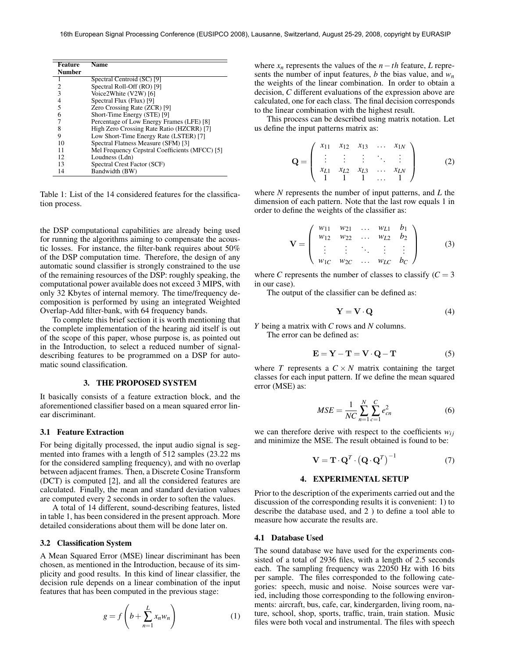| <b>Feature</b> | Name                                           |
|----------------|------------------------------------------------|
| Number         |                                                |
|                | Spectral Centroid (SC) [9]                     |
| 2              | Spectral Roll-Off (RO) [9]                     |
| 3              | Voice2White (V2W) [6]                          |
| 4              | Spectral Flux (Flux) [9]                       |
| 5              | Zero Crossing Rate (ZCR) [9]                   |
| 6              | Short-Time Energy (STE) [9]                    |
|                | Percentage of Low Energy Frames (LFE) [8]      |
| 8              | High Zero Crossing Rate Ratio (HZCRR) [7]      |
| 9              | Low Short-Time Energy Rate (LSTER) [7]         |
| 10             | Spectral Flatness Measure (SFM) [3]            |
| 11             | Mel Frequency Cepstral Coefficients (MFCC) [5] |
| 12             | Loudness (Ldn)                                 |
| 13             | Spectral Crest Factor (SCF)                    |
| 14             | Bandwidth (BW)                                 |

Table 1: List of the 14 considered features for the classification process.

the DSP computational capabilities are already being used for running the algorithms aiming to compensate the acoustic losses. For instance, the filter-bank requires about 50% of the DSP computation time. Therefore, the design of any automatic sound classifier is strongly constrained to the use of the remaining resources of the DSP: roughly speaking, the computational power available does not exceed 3 MIPS, with only 32 Kbytes of internal memory. The time/frequency decomposition is performed by using an integrated Weighted Overlap-Add filter-bank, with 64 frequency bands.

To complete this brief section it is worth mentioning that the complete implementation of the hearing aid itself is out of the scope of this paper, whose purpose is, as pointed out in the Introduction, to select a reduced number of signaldescribing features to be programmed on a DSP for automatic sound classification.

## 3. THE PROPOSED SYSTEM

It basically consists of a feature extraction block, and the aforementioned classifier based on a mean squared error linear discriminant.

## 3.1 Feature Extraction

For being digitally processed, the input audio signal is segmented into frames with a length of 512 samples (23.22 ms for the considered sampling frequency), and with no overlap between adjacent frames. Then, a Discrete Cosine Transform (DCT) is computed [2], and all the considered features are calculated. Finally, the mean and standard deviation values are computed every 2 seconds in order to soften the values.

A total of 14 different, sound-describing features, listed in table 1, has been considered in the present approach. More detailed considerations about them will be done later on.

## 3.2 Classification System

A Mean Squared Error (MSE) linear discriminant has been chosen, as mentioned in the Introduction, because of its simplicity and good results. In this kind of linear classifier, the decision rule depends on a linear combination of the input features that has been computed in the previous stage:

$$
g = f\left(b + \sum_{n=1}^{L} x_n w_n\right) \tag{1}
$$

where  $x_n$  represents the values of the  $n-th$  feature, L represents the number of input features, *b* the bias value, and *w<sup>n</sup>* the weights of the linear combination. In order to obtain a decision, *C* different evaluations of the expression above are calculated, one for each class. The final decision corresponds to the linear combination with the highest result.

This process can be described using matrix notation. Let us define the input patterns matrix as:

$$
\mathbf{Q} = \begin{pmatrix} x_{11} & x_{12} & x_{13} & \dots & x_{1N} \\ \vdots & \vdots & \vdots & \ddots & \vdots \\ x_{L1} & x_{L2} & x_{L3} & \dots & x_{LN} \\ 1 & 1 & 1 & \dots & 1 \end{pmatrix}
$$
 (2)

where *N* represents the number of input patterns, and *L* the dimension of each pattern. Note that the last row equals 1 in order to define the weights of the classifier as:

$$
\mathbf{V} = \begin{pmatrix} w_{11} & w_{21} & \dots & w_{L1} & b_1 \\ w_{12} & w_{22} & \dots & w_{L2} & b_2 \\ \vdots & \vdots & \ddots & \vdots & \vdots \\ w_{1C} & w_{2C} & \dots & w_{LC} & b_C \end{pmatrix}
$$
 (3)

where *C* represents the number of classes to classify  $(C = 3)$ in our case).

The output of the classifier can be defined as:

$$
Y = V \cdot Q \tag{4}
$$

*Y* being a matrix with *C* rows and *N* columns.

The error can be defined as:

$$
\mathbf{E} = \mathbf{Y} - \mathbf{T} = \mathbf{V} \cdot \mathbf{Q} - \mathbf{T} \tag{5}
$$

where *T* represents a  $C \times N$  matrix containing the target classes for each input pattern. If we define the mean squared error (MSE) as:

$$
MSE = \frac{1}{NC} \sum_{n=1}^{N} \sum_{c=1}^{C} e_{cn}^{2}
$$
 (6)

we can therefore derive with respect to the coefficients  $w_{ij}$ and minimize the MSE. The result obtained is found to be:

$$
\mathbf{V} = \mathbf{T} \cdot \mathbf{Q}^T \cdot \left(\mathbf{Q} \cdot \mathbf{Q}^T\right)^{-1} \tag{7}
$$

## 4. EXPERIMENTAL SETUP

Prior to the description of the experiments carried out and the discussion of the corresponding results it is convenient: 1) to describe the database used, and 2 ) to define a tool able to measure how accurate the results are.

### 4.1 Database Used

The sound database we have used for the experiments consisted of a total of 2936 files, with a length of 2.5 seconds each. The sampling frequency was 22050 Hz with 16 bits per sample. The files corresponded to the following categories: speech, music and noise. Noise sources were varied, including those corresponding to the following environments: aircraft, bus, cafe, car, kindergarden, living room, nature, school, shop, sports, traffic, train, train station. Music files were both vocal and instrumental. The files with speech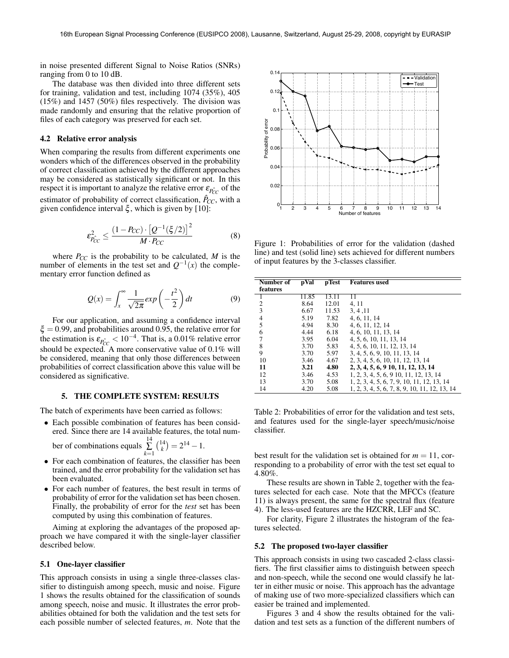in noise presented different Signal to Noise Ratios (SNRs) ranging from 0 to 10 dB.

The database was then divided into three different sets for training, validation and test, including 1074 (35%), 405 (15%) and 1457 (50%) files respectively. The division was made randomly and ensuring that the relative proportion of files of each category was preserved for each set.

#### 4.2 Relative error analysis

When comparing the results from different experiments one wonders which of the differences observed in the probability of correct classification achieved by the different approaches may be considered as statistically significant or not. In this respect it is important to analyze the relative error  $\varepsilon_{P_{CC}^>}$  of the estimator of probability of correct classification,  $\hat{P}_{CC}$ , with a given confidence interval  $\xi$ , which is given by [10]:

$$
\varepsilon_{P_{CC}}^2 \le \frac{\left(1 - P_{CC}\right) \cdot \left[Q^{-1}(\xi/2)\right]^2}{M \cdot P_{CC}}
$$
 (8)

$$
Q(x) = \int_{x}^{\infty} \frac{1}{\sqrt{2\pi}} exp\left(-\frac{t^2}{2}\right) dt
$$
 (9)

# 5. THE COMPLETE SYSTEM: RESULTS

- For each combination of features, the classifier has been trained, and the error probability for the validation set has been evaluated.
- For each number of features, the best result in terms of probability of error for the validation set has been chosen. Finally, the probability of error for the *test* set has been computed by using this combination of features.

#### 5.1 One-layer classifier



Figure 1: Probabilities of error for the validation (dashed line) and test (solid line) sets achieved for different numbers of input features by the 3-classes classifier.

| given confidence interval $\zeta$ , which is given by [10]:                                                                                                                                                                                                                                                                                                                                      |                                                                                                                                                                                                                                                                                                                                                                                                     | 3<br>$\overline{4}$          | $-5$                         | 6 7 8<br>9<br>10 11 12 13 14<br>Number of features                                                                                                                                                                                                                                                                       |
|--------------------------------------------------------------------------------------------------------------------------------------------------------------------------------------------------------------------------------------------------------------------------------------------------------------------------------------------------------------------------------------------------|-----------------------------------------------------------------------------------------------------------------------------------------------------------------------------------------------------------------------------------------------------------------------------------------------------------------------------------------------------------------------------------------------------|------------------------------|------------------------------|--------------------------------------------------------------------------------------------------------------------------------------------------------------------------------------------------------------------------------------------------------------------------------------------------------------------------|
| $\varepsilon_{P_{CC}}^2 \leq \frac{(1-P_{CC}) \cdot [Q^{-1}(\xi/2)]^2}{M \cdot P_{CC}}$<br>(8)<br>where $P_{CC}$ is the probability to be calculated, $M$ is the<br>number of elements in the test set and $Q^{-1}(x)$ the comple-<br>mentary error function defined as                                                                                                                          |                                                                                                                                                                                                                                                                                                                                                                                                     |                              |                              | Figure 1: Probabilities of error for the validation (dashed<br>line) and test (solid line) sets achieved for different numbers<br>of input features by the 3-classes classifier.                                                                                                                                         |
|                                                                                                                                                                                                                                                                                                                                                                                                  | <b>Number</b> of<br>features                                                                                                                                                                                                                                                                                                                                                                        | pVal                         | pTest                        | <b>Features</b> used                                                                                                                                                                                                                                                                                                     |
| $Q(x) = \int_{x}^{\infty} \frac{1}{\sqrt{2\pi}} exp\left(-\frac{t^2}{2}\right) dt$<br>(9)                                                                                                                                                                                                                                                                                                        | 1<br>2<br>3                                                                                                                                                                                                                                                                                                                                                                                         | 11.85<br>8.64<br>6.67        | 13.11<br>12.01<br>11.53      | 11<br>4, 11<br>3, 4, 11                                                                                                                                                                                                                                                                                                  |
| For our application, and assuming a confidence interval<br>$\xi = 0.99$ , and probabilities around 0.95, the relative error for                                                                                                                                                                                                                                                                  | 4<br>5<br>6                                                                                                                                                                                                                                                                                                                                                                                         | 5.19<br>4.94<br>4.44         | 7.82<br>8.30<br>6.18         | 4, 6, 11, 14<br>4, 6, 11, 12, 14<br>4, 6, 10, 11, 13, 14                                                                                                                                                                                                                                                                 |
| the estimation is $\varepsilon_{\hat{P_{CC}}} < 10^{-4}$ . That is, a 0.01% relative error<br>should be expected. A more conservative value of $0.1\%$ will<br>be considered, meaning that only those differences between                                                                                                                                                                        | 7<br>8<br>9<br>10                                                                                                                                                                                                                                                                                                                                                                                   | 3.95<br>3.70<br>3.70<br>3.46 | 6.04<br>5.83<br>5.97<br>4.67 | 4, 5, 6, 10, 11, 13, 14<br>4, 5, 6, 10, 11, 12, 13, 14<br>3, 4, 5, 6, 9, 10, 11, 13, 14<br>2, 3, 4, 5, 6, 10, 11, 12, 13, 14                                                                                                                                                                                             |
| probabilities of correct classification above this value will be<br>considered as significative.                                                                                                                                                                                                                                                                                                 | 11<br>12<br>13                                                                                                                                                                                                                                                                                                                                                                                      | 3.21<br>3.46<br>3.70         | 4.80<br>4.53<br>5.08         | 2, 3, 4, 5, 6, 9 10, 11, 12, 13, 14<br>1, 2, 3, 4, 5, 6, 9 10, 11, 12, 13, 14<br>1, 2, 3, 4, 5, 6, 7, 9, 10, 11, 12, 13, 14                                                                                                                                                                                              |
| 5. THE COMPLETE SYSTEM: RESULTS                                                                                                                                                                                                                                                                                                                                                                  | 14                                                                                                                                                                                                                                                                                                                                                                                                  | 4.20                         | 5.08                         | 1, 2, 3, 4, 5, 6, 7, 8, 9, 10, 11, 12, 13, 14                                                                                                                                                                                                                                                                            |
| The batch of experiments have been carried as follows:<br>• Each possible combination of features has been consid-<br>ered. Since there are 14 available features, the total num-<br>ber of combinations equals $\sum_{k=1}^{14} {\binom{14}{k}} = 2^{14} - 1.$                                                                                                                                  | classifier.                                                                                                                                                                                                                                                                                                                                                                                         |                              |                              | Table 2: Probabilities of error for the validation and test sets,<br>and features used for the single-layer speech/music/noise<br>best result for the validation set is obtained for $m = 11$ , cor-                                                                                                                     |
| • For each combination of features, the classifier has been<br>trained, and the error probability for the validation set has<br>been evaluated.<br>• For each number of features, the best result in terms of<br>probability of error for the validation set has been chosen.<br>Finally, the probability of error for the test set has been<br>computed by using this combination of features.  | responding to a probability of error with the test set equal to<br>$4.80\%$ .<br>These results are shown in Table 2, together with the fea-<br>tures selected for each case. Note that the MFCCs (feature<br>11) is always present, the same for the spectral flux (feature<br>4). The less-used features are the HZCRR, LEF and SC.<br>For clarity, Figure 2 illustrates the histogram of the fea- |                              |                              |                                                                                                                                                                                                                                                                                                                          |
| Aiming at exploring the advantages of the proposed ap-<br>proach we have compared it with the single-layer classifier<br>described below.                                                                                                                                                                                                                                                        | tures selected.                                                                                                                                                                                                                                                                                                                                                                                     |                              |                              | 5.2 The proposed two-layer classifier                                                                                                                                                                                                                                                                                    |
|                                                                                                                                                                                                                                                                                                                                                                                                  |                                                                                                                                                                                                                                                                                                                                                                                                     |                              |                              | This approach consists in using two cascaded 2-class classi-                                                                                                                                                                                                                                                             |
| 5.1 One-layer classifier                                                                                                                                                                                                                                                                                                                                                                         |                                                                                                                                                                                                                                                                                                                                                                                                     |                              |                              | fiers. The first classifier aims to distinguish between speech                                                                                                                                                                                                                                                           |
| This approach consists in using a single three-classes clas-<br>sifier to distinguish among speech, music and noise. Figure<br>1 shows the results obtained for the classification of sounds<br>among speech, noise and music. It illustrates the error prob-<br>abilities obtained for both the validation and the test sets for<br>each possible number of selected features, m. Note that the | easier be trained and implemented.                                                                                                                                                                                                                                                                                                                                                                  |                              |                              | and non-speech, while the second one would classify he lat-<br>ter in either music or noise. This approach has the advantage<br>of making use of two more-specialized classifiers which can<br>Figures 3 and 4 show the results obtained for the vali-<br>dation and test sets as a function of the different numbers of |

#### 5.2 The proposed two-layer classifier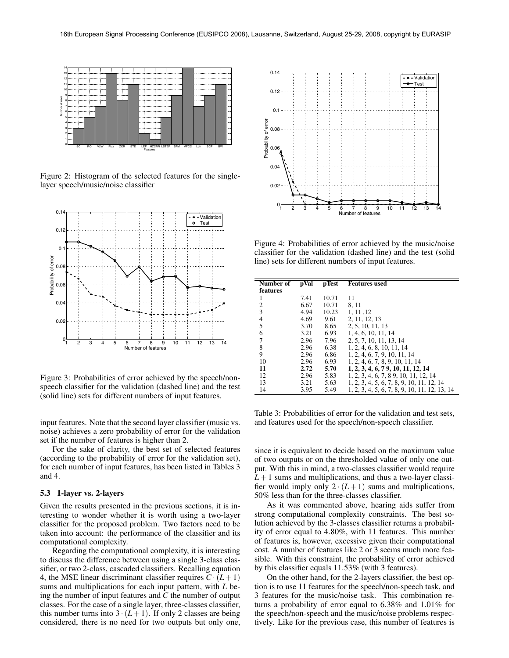

Figure 2: Histogram of the selected features for the singlelayer speech/music/noise classifier



Figure 3: Probabilities of error achieved by the speech/nonspeech classifier for the validation (dashed line) and the test (solid line) sets for different numbers of input features.

input features. Note that the second layer classifier (music vs. noise) achieves a zero probability of error for the validation set if the number of features is higher than 2.

For the sake of clarity, the best set of selected features (according to the probability of error for the validation set), for each number of input features, has been listed in Tables 3 and 4.

## 5.3 1-layer vs. 2-layers

Given the results presented in the previous sections, it is interesting to wonder whether it is worth using a two-layer classifier for the proposed problem. Two factors need to be taken into account: the performance of the classifier and its computational complexity.

Regarding the computational complexity, it is interesting to discuss the difference between using a single 3-class classifier, or two 2-class, cascaded classifiers. Recalling equation 4, the MSE linear discriminant classifier requires  $C \cdot (L+1)$ sums and multiplications for each input pattern, with *L* being the number of input features and *C* the number of output classes. For the case of a single layer, three-classes classifier, this number turns into  $3 \cdot (L+1)$ . If only 2 classes are being



Figure 4: Probabilities of error achieved by the music/noise classifier for the validation (dashed line) and the test (solid line) sets for different numbers of input features.

| Number of     | pVal | pTest | <b>Features</b> used                          |
|---------------|------|-------|-----------------------------------------------|
| features      |      |       |                                               |
|               | 7.41 | 10.71 | 11                                            |
| 2             | 6.67 | 10.71 | 8, 11                                         |
| 3             | 4.94 | 10.23 | 1, 11, 12                                     |
| $\frac{4}{5}$ | 4.69 | 9.61  | 2, 11, 12, 13                                 |
|               | 3.70 | 8.65  | 2, 5, 10, 11, 13                              |
| 6             | 3.21 | 6.93  | 1, 4, 6, 10, 11, 14                           |
| 7             | 2.96 | 7.96  | 2, 5, 7, 10, 11, 13, 14                       |
| 8             | 2.96 | 6.38  | 1, 2, 4, 6, 8, 10, 11, 14                     |
| 9             | 2.96 | 6.86  | 1, 2, 4, 6, 7, 9, 10, 11, 14                  |
| 10            | 2.96 | 6.93  | 1, 2, 4, 6, 7, 8, 9, 10, 11, 14               |
| 11            | 2.72 | 5.70  | 1, 2, 3, 4, 6, 7 9, 10, 11, 12, 14            |
| 12            | 2.96 | 5.83  | 1, 2, 3, 4, 6, 7, 8 9, 10, 11, 12, 14         |
| 13            | 3.21 | 5.63  | 1, 2, 3, 4, 5, 6, 7, 8, 9, 10, 11, 12, 14     |
| 14            | 3.95 | 5.49  | 1, 2, 3, 4, 5, 6, 7, 8, 9, 10, 11, 12, 13, 14 |

Table 3: Probabilities of error for the validation and test sets, and features used for the speech/non-speech classifier.

since it is equivalent to decide based on the maximum value of two outputs or on the thresholded value of only one output. With this in mind, a two-classes classifier would require  $L+1$  sums and multiplications, and thus a two-layer classifier would imply only  $2 \cdot (L+1)$  sums and multiplications, 50% less than for the three-classes classifier.

As it was commented above, hearing aids suffer from strong computational complexity constraints. The best solution achieved by the 3-classes classifier returns a probability of error equal to 4.80%, with 11 features. This number of features is, however, excessive given their computational cost. A number of features like 2 or 3 seems much more feasible. With this constraint, the probability of error achieved by this classifier equals 11.53% (with 3 features).

On the other hand, for the 2-layers classifier, the best option is to use 11 features for the speech/non-speech task, and 3 features for the music/noise task. This combination returns a probability of error equal to 6.38% and 1.01% for the speech/non-speech and the music/noise problems respectively. Like for the previous case, this number of features is